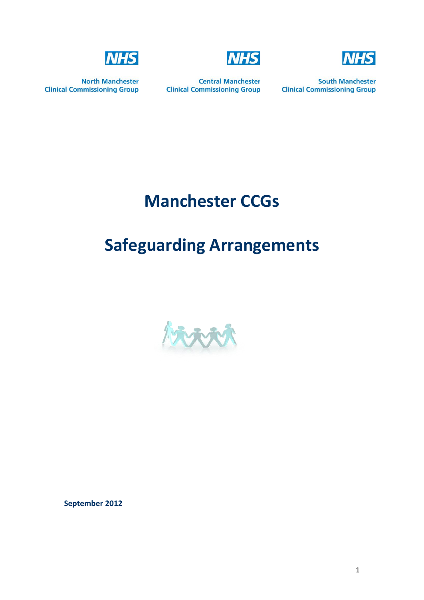



**North Manchester Clinical Commissioning Group** 

**Central Manchester Clinical Commissioning Group** 

**NHS** 

**South Manchester Clinical Commissioning Group** 

# **Manchester CCGs**

## **Safeguarding Arrangements**



**September 2012**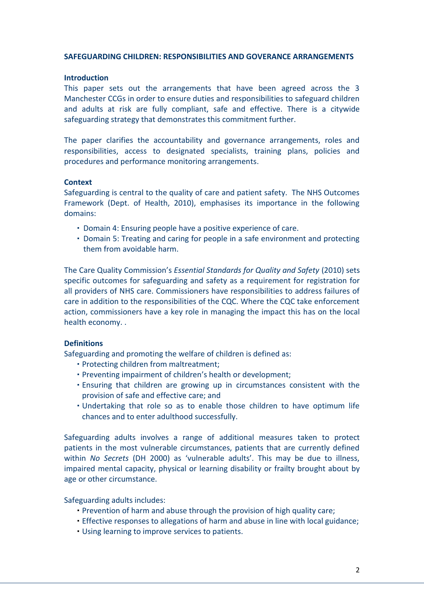#### **SAFEGUARDING CHILDREN: RESPONSIBILITIES AND GOVERANCE ARRANGEMENTS**

#### **Introduction**

This paper sets out the arrangements that have been agreed across the 3 Manchester CCGs in order to ensure duties and responsibilities to safeguard children and adults at risk are fully compliant, safe and effective. There is a citywide safeguarding strategy that demonstrates this commitment further.

The paper clarifies the accountability and governance arrangements, roles and responsibilities, access to designated specialists, training plans, policies and procedures and performance monitoring arrangements.

#### **Context**

Safeguarding is central to the quality of care and patient safety. The NHS Outcomes Framework (Dept. of Health, 2010), emphasises its importance in the following domains:

- Domain 4: Ensuring people have a positive experience of care.
- Domain 5: Treating and caring for people in a safe environment and protecting them from avoidable harm.

The Care Quality Commission's *Essential Standards for Quality and Safety* (2010) sets specific outcomes for safeguarding and safety as a requirement for registration for all providers of NHS care. Commissioners have responsibilities to address failures of care in addition to the responsibilities of the CQC. Where the CQC take enforcement action, commissioners have a key role in managing the impact this has on the local health economy. .

## **Definitions**

Safeguarding and promoting the welfare of children is defined as:

- Protecting children from maltreatment;
- Preventing impairment of children's health or development;
- Ensuring that children are growing up in circumstances consistent with the provision of safe and effective care; and
- Undertaking that role so as to enable those children to have optimum life chances and to enter adulthood successfully.

Safeguarding adults involves a range of additional measures taken to protect patients in the most vulnerable circumstances, patients that are currently defined within *No Secrets* (DH 2000) as 'vulnerable adults'. This may be due to illness, impaired mental capacity, physical or learning disability or frailty brought about by age or other circumstance.

Safeguarding adults includes:

- Prevention of harm and abuse through the provision of high quality care;
- Effective responses to allegations of harm and abuse in line with local guidance;
- Using learning to improve services to patients.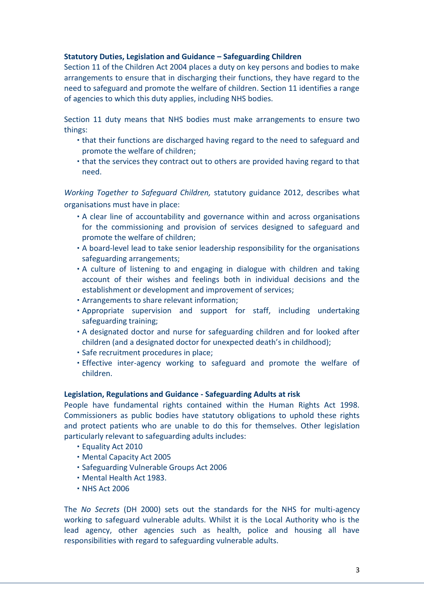## **Statutory Duties, Legislation and Guidance – Safeguarding Children**

Section 11 of the Children Act 2004 places a duty on key persons and bodies to make arrangements to ensure that in discharging their functions, they have regard to the need to safeguard and promote the welfare of children. Section 11 identifies a range of agencies to which this duty applies, including NHS bodies.

Section 11 duty means that NHS bodies must make arrangements to ensure two things:

- that their functions are discharged having regard to the need to safeguard and promote the welfare of children;
- that the services they contract out to others are provided having regard to that need.

*Working Together to Safeguard Children,* statutory guidance 2012, describes what organisations must have in place:

- A clear line of accountability and governance within and across organisations for the commissioning and provision of services designed to safeguard and promote the welfare of children;
- A board-level lead to take senior leadership responsibility for the organisations safeguarding arrangements;
- A culture of listening to and engaging in dialogue with children and taking account of their wishes and feelings both in individual decisions and the establishment or development and improvement of services;
- Arrangements to share relevant information;
- Appropriate supervision and support for staff, including undertaking safeguarding training;
- A designated doctor and nurse for safeguarding children and for looked after children (and a designated doctor for unexpected death's in childhood);
- Safe recruitment procedures in place;
- Effective inter-agency working to safeguard and promote the welfare of children.

#### **Legislation, Regulations and Guidance - Safeguarding Adults at risk**

People have fundamental rights contained within the Human Rights Act 1998. Commissioners as public bodies have statutory obligations to uphold these rights and protect patients who are unable to do this for themselves. Other legislation particularly relevant to safeguarding adults includes:

- Equality Act 2010
- Mental Capacity Act 2005
- Safeguarding Vulnerable Groups Act 2006
- Mental Health Act 1983.
- NHS Act 2006

The *No Secrets* (DH 2000) sets out the standards for the NHS for multi-agency working to safeguard vulnerable adults. Whilst it is the Local Authority who is the lead agency, other agencies such as health, police and housing all have responsibilities with regard to safeguarding vulnerable adults.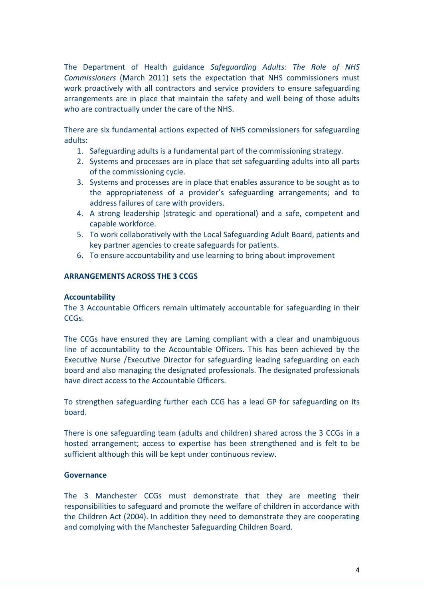The Department of Health guidance *Safeguarding Adults: The Role of NHS Commissioners* (March 2011) sets the expectation that NHS commissioners must work proactively with all contractors and service providers to ensure safeguarding arrangements are in place that maintain the safety and well being of those adults who are contractually under the care of the NHS.

There are six fundamental actions expected of NHS commissioners for safeguarding adults:

- 1. Safeguarding adults is a fundamental part of the commissioning strategy.
- 2. Systems and processes are in place that set safeguarding adults into all parts of the commissioning cycle.
- 3. Systems and processes are in place that enables assurance to be sought as to the appropriateness of a provider's safeguarding arrangements; and to address failures of care with providers.
- 4. A strong leadership (strategic and operational) and a safe, competent and capable workforce.
- 5. To work collaboratively with the Local Safeguarding Adult Board, patients and key partner agencies to create safeguards for patients.
- 6. To ensure accountability and use learning to bring about improvement

## **ARRANGEMENTS ACROSS THE 3 CCGS**

## **Accountability**

The 3 Accountable Officers remain ultimately accountable for safeguarding in their CCGs.

The CCGs have ensured they are Laming compliant with a clear and unambiguous line of accountability to the Accountable Officers. This has been achieved by the Executive Nurse /Executive Director for safeguarding leading safeguarding on each board and also managing the designated professionals. The designated professionals have direct access to the Accountable Officers.

To strengthen safeguarding further each CCG has a lead GP for safeguarding on its board.

There is one safeguarding team (adults and children) shared across the 3 CCGs in a hosted arrangement; access to expertise has been strengthened and is felt to be sufficient although this will be kept under continuous review.

## **Governance**

The 3 Manchester CCGs must demonstrate that they are meeting their responsibilities to safeguard and promote the welfare of children in accordance with the Children Act (2004). In addition they need to demonstrate they are cooperating and complying with the Manchester Safeguarding Children Board.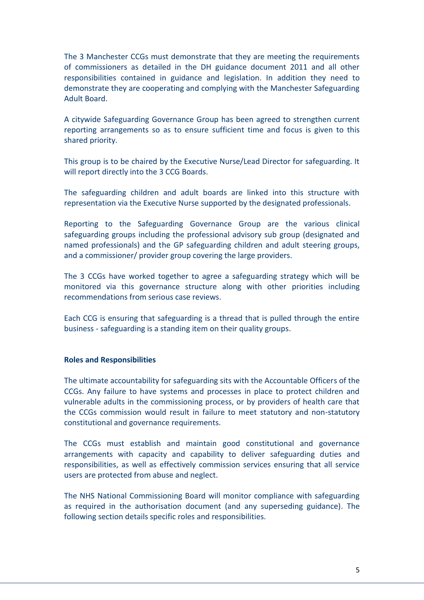The 3 Manchester CCGs must demonstrate that they are meeting the requirements of commissioners as detailed in the DH guidance document 2011 and all other responsibilities contained in guidance and legislation. In addition they need to demonstrate they are cooperating and complying with the Manchester Safeguarding Adult Board.

A citywide Safeguarding Governance Group has been agreed to strengthen current reporting arrangements so as to ensure sufficient time and focus is given to this shared priority.

This group is to be chaired by the Executive Nurse/Lead Director for safeguarding. It will report directly into the 3 CCG Boards.

The safeguarding children and adult boards are linked into this structure with representation via the Executive Nurse supported by the designated professionals.

Reporting to the Safeguarding Governance Group are the various clinical safeguarding groups including the professional advisory sub group (designated and named professionals) and the GP safeguarding children and adult steering groups, and a commissioner/ provider group covering the large providers.

The 3 CCGs have worked together to agree a safeguarding strategy which will be monitored via this governance structure along with other priorities including recommendations from serious case reviews.

Each CCG is ensuring that safeguarding is a thread that is pulled through the entire business - safeguarding is a standing item on their quality groups.

## **Roles and Responsibilities**

The ultimate accountability for safeguarding sits with the Accountable Officers of the CCGs. Any failure to have systems and processes in place to protect children and vulnerable adults in the commissioning process, or by providers of health care that the CCGs commission would result in failure to meet statutory and non-statutory constitutional and governance requirements.

The CCGs must establish and maintain good constitutional and governance arrangements with capacity and capability to deliver safeguarding duties and responsibilities, as well as effectively commission services ensuring that all service users are protected from abuse and neglect.

The NHS National Commissioning Board will monitor compliance with safeguarding as required in the authorisation document (and any superseding guidance). The following section details specific roles and responsibilities.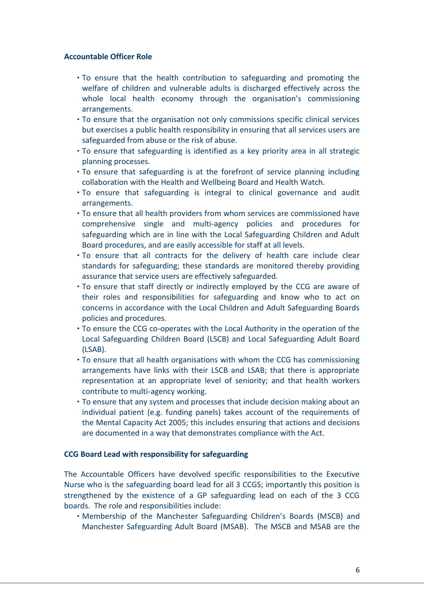## **Accountable Officer Role**

- To ensure that the health contribution to safeguarding and promoting the welfare of children and vulnerable adults is discharged effectively across the whole local health economy through the organisation's commissioning arrangements.
- To ensure that the organisation not only commissions specific clinical services but exercises a public health responsibility in ensuring that all services users are safeguarded from abuse or the risk of abuse.
- To ensure that safeguarding is identified as a key priority area in all strategic planning processes.
- To ensure that safeguarding is at the forefront of service planning including collaboration with the Health and Wellbeing Board and Health Watch.
- To ensure that safeguarding is integral to clinical governance and audit arrangements.
- To ensure that all health providers from whom services are commissioned have comprehensive single and multi-agency policies and procedures for safeguarding which are in line with the Local Safeguarding Children and Adult Board procedures, and are easily accessible for staff at all levels.
- To ensure that all contracts for the delivery of health care include clear standards for safeguarding; these standards are monitored thereby providing assurance that service users are effectively safeguarded.
- To ensure that staff directly or indirectly employed by the CCG are aware of their roles and responsibilities for safeguarding and know who to act on concerns in accordance with the Local Children and Adult Safeguarding Boards policies and procedures.
- To ensure the CCG co-operates with the Local Authority in the operation of the Local Safeguarding Children Board (LSCB) and Local Safeguarding Adult Board (LSAB).
- To ensure that all health organisations with whom the CCG has commissioning arrangements have links with their LSCB and LSAB; that there is appropriate representation at an appropriate level of seniority; and that health workers contribute to multi-agency working.
- To ensure that any system and processes that include decision making about an individual patient (e.g. funding panels) takes account of the requirements of the Mental Capacity Act 2005; this includes ensuring that actions and decisions are documented in a way that demonstrates compliance with the Act.

#### **CCG Board Lead with responsibility for safeguarding**

The Accountable Officers have devolved specific responsibilities to the Executive Nurse who is the safeguarding board lead for all 3 CCGS; importantly this position is strengthened by the existence of a GP safeguarding lead on each of the 3 CCG boards. The role and responsibilities include:

 Membership of the Manchester Safeguarding Children's Boards (MSCB) and Manchester Safeguarding Adult Board (MSAB). The MSCB and MSAB are the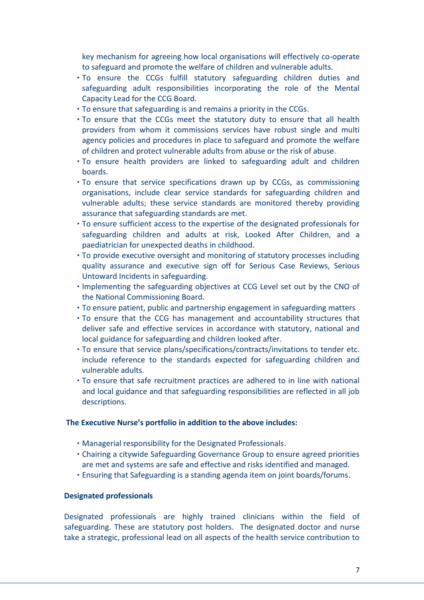key mechanism for agreeing how local organisations will effectively co-operate to safeguard and promote the welfare of children and vulnerable adults.

- To ensure the CCGs fulfill statutory safeguarding children duties and safeguarding adult responsibilities incorporating the role of the Mental Capacity Lead for the CCG Board.
- To ensure that safeguarding is and remains a priority in the CCGs.
- To ensure that the CCGs meet the statutory duty to ensure that all health providers from whom it commissions services have robust single and multi agency policies and procedures in place to safeguard and promote the welfare of children and protect vulnerable adults from abuse or the risk of abuse.
- To ensure health providers are linked to safeguarding adult and children boards.
- To ensure that service specifications drawn up by CCGs, as commissioning organisations, include clear service standards for safeguarding children and vulnerable adults; these service standards are monitored thereby providing assurance that safeguarding standards are met.
- To ensure sufficient access to the expertise of the designated professionals for safeguarding children and adults at risk, Looked After Children, and a paediatrician for unexpected deaths in childhood.
- To provide executive oversight and monitoring of statutory processes including quality assurance and executive sign off for Serious Case Reviews, Serious Untoward Incidents in safeguarding.
- Implementing the safeguarding objectives at CCG Level set out by the CNO of the National Commissioning Board.
- To ensure patient, public and partnership engagement in safeguarding matters
- To ensure that the CCG has management and accountability structures that deliver safe and effective services in accordance with statutory, national and local guidance for safeguarding and children looked after.
- To ensure that service plans/specifications/contracts/invitations to tender etc. include reference to the standards expected for safeguarding children and vulnerable adults.
- To ensure that safe recruitment practices are adhered to in line with national and local guidance and that safeguarding responsibilities are reflected in all job descriptions.

#### **The Executive Nurse's portfolio in addition to the above includes:**

- Managerial responsibility for the Designated Professionals.
- Chairing a citywide Safeguarding Governance Group to ensure agreed priorities are met and systems are safe and effective and risks identified and managed.
- Ensuring that Safeguarding is a standing agenda item on joint boards/forums.

#### **Designated professionals**

Designated professionals are highly trained clinicians within the field of safeguarding. These are statutory post holders. The designated doctor and nurse take a strategic, professional lead on all aspects of the health service contribution to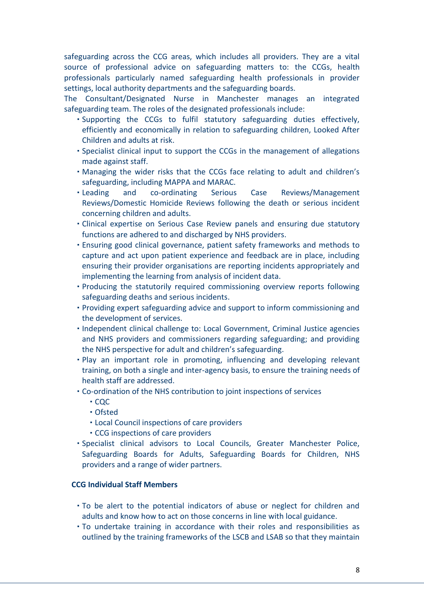safeguarding across the CCG areas, which includes all providers. They are a vital source of professional advice on safeguarding matters to: the CCGs, health professionals particularly named safeguarding health professionals in provider settings, local authority departments and the safeguarding boards.

The Consultant/Designated Nurse in Manchester manages an integrated safeguarding team. The roles of the designated professionals include:

- Supporting the CCGs to fulfil statutory safeguarding duties effectively, efficiently and economically in relation to safeguarding children, Looked After Children and adults at risk.
- Specialist clinical input to support the CCGs in the management of allegations made against staff.
- Managing the wider risks that the CCGs face relating to adult and children's safeguarding, including MAPPA and MARAC.
- Leading and co-ordinating Serious Case Reviews/Management Reviews/Domestic Homicide Reviews following the death or serious incident concerning children and adults.
- Clinical expertise on Serious Case Review panels and ensuring due statutory functions are adhered to and discharged by NHS providers.
- Ensuring good clinical governance, patient safety frameworks and methods to capture and act upon patient experience and feedback are in place, including ensuring their provider organisations are reporting incidents appropriately and implementing the learning from analysis of incident data.
- Producing the statutorily required commissioning overview reports following safeguarding deaths and serious incidents.
- Providing expert safeguarding advice and support to inform commissioning and the development of services.
- Independent clinical challenge to: Local Government, Criminal Justice agencies and NHS providers and commissioners regarding safeguarding; and providing the NHS perspective for adult and children's safeguarding.
- Play an important role in promoting, influencing and developing relevant training, on both a single and inter-agency basis, to ensure the training needs of health staff are addressed.
- Co-ordination of the NHS contribution to joint inspections of services
	- $\cdot$  COC
	- Ofsted
	- Local Council inspections of care providers
	- CCG inspections of care providers
- Specialist clinical advisors to Local Councils, Greater Manchester Police, Safeguarding Boards for Adults, Safeguarding Boards for Children, NHS providers and a range of wider partners.

## **CCG Individual Staff Members**

- To be alert to the potential indicators of abuse or neglect for children and adults and know how to act on those concerns in line with local guidance.
- To undertake training in accordance with their roles and responsibilities as outlined by the training frameworks of the LSCB and LSAB so that they maintain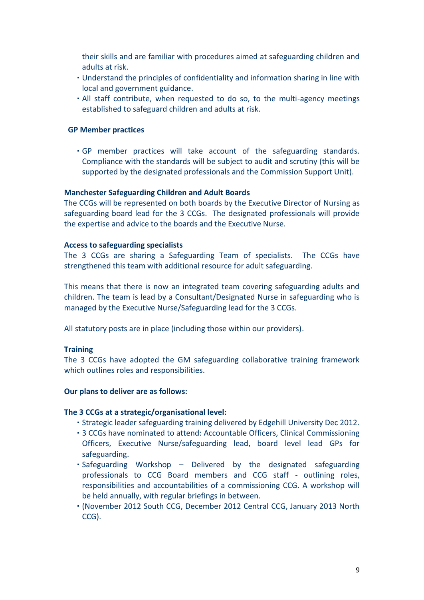their skills and are familiar with procedures aimed at safeguarding children and adults at risk.

- Understand the principles of confidentiality and information sharing in line with local and government guidance.
- All staff contribute, when requested to do so, to the multi-agency meetings established to safeguard children and adults at risk.

#### **GP Member practices**

 GP member practices will take account of the safeguarding standards. Compliance with the standards will be subject to audit and scrutiny (this will be supported by the designated professionals and the Commission Support Unit).

#### **Manchester Safeguarding Children and Adult Boards**

The CCGs will be represented on both boards by the Executive Director of Nursing as safeguarding board lead for the 3 CCGs. The designated professionals will provide the expertise and advice to the boards and the Executive Nurse.

#### **Access to safeguarding specialists**

The 3 CCGs are sharing a Safeguarding Team of specialists. The CCGs have strengthened this team with additional resource for adult safeguarding.

This means that there is now an integrated team covering safeguarding adults and children. The team is lead by a Consultant/Designated Nurse in safeguarding who is managed by the Executive Nurse/Safeguarding lead for the 3 CCGs.

All statutory posts are in place (including those within our providers).

## **Training**

The 3 CCGs have adopted the GM safeguarding collaborative training framework which outlines roles and responsibilities.

#### **Our plans to deliver are as follows:**

#### **The 3 CCGs at a strategic/organisational level:**

- Strategic leader safeguarding training delivered by Edgehill University Dec 2012.
- 3 CCGs have nominated to attend: Accountable Officers, Clinical Commissioning Officers, Executive Nurse/safeguarding lead, board level lead GPs for safeguarding.
- Safeguarding Workshop Delivered by the designated safeguarding professionals to CCG Board members and CCG staff - outlining roles, responsibilities and accountabilities of a commissioning CCG. A workshop will be held annually, with regular briefings in between.
- (November 2012 South CCG, December 2012 Central CCG, January 2013 North CCG).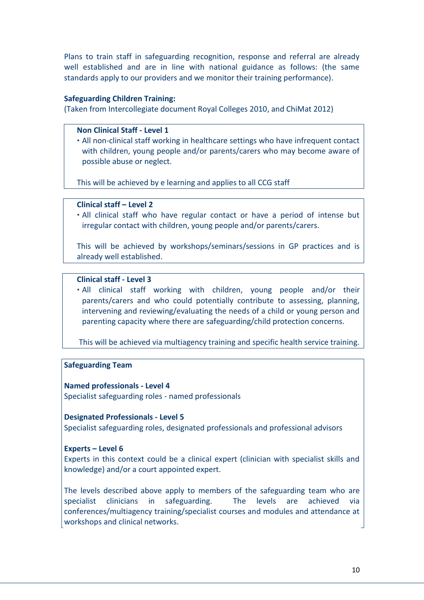Plans to train staff in safeguarding recognition, response and referral are already well established and are in line with national guidance as follows: (the same standards apply to our providers and we monitor their training performance).

#### **Safeguarding Children Training:**

(Taken from Intercollegiate document Royal Colleges 2010, and ChiMat 2012)

#### **Non Clinical Staff - Level 1**

 All non-clinical staff working in healthcare settings who have infrequent contact with children, young people and/or parents/carers who may become aware of possible abuse or neglect.

This will be achieved by e learning and applies to all CCG staff

## **Clinical staff – Level 2**

 All clinical staff who have regular contact or have a period of intense but irregular contact with children, young people and/or parents/carers.

This will be achieved by workshops/seminars/sessions in GP practices and is already well established.

## **[Clinical staff -](http://www.chimat.org.uk/safe/training/m/level3) Level 3**

 All clinical staff working with children, young people and/or their parents/carers and who could potentially contribute to assessing, planning, intervening and reviewing/evaluating the needs of a child or young person and parenting capacity where there are safeguarding/child protection concerns.

This will be achieved via multiagency training and specific health service training.

## **Safeguarding Team**

## **Named professionals - Level 4**

Specialist safeguarding roles - named professionals

#### **Designated Professionals - Level 5**

Specialist safeguarding roles, designated professionals and professional advisors

## **Experts – Level 6**

Experts in this context could be a clinical expert (clinician with specialist skills and knowledge) and/or a court appointed expert.

The levels described above apply to members of the safeguarding team who are specialist clinicians in safeguarding. The levels are achieved via conferences/multiagency training/specialist courses and modules and attendance at workshops and clinical networks.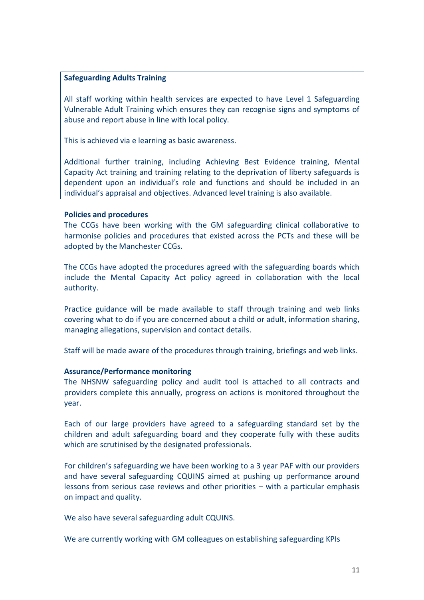#### **Safeguarding Adults Training**

All staff working within health services are expected to have Level 1 Safeguarding Vulnerable Adult Training which ensures they can recognise signs and symptoms of abuse and report abuse in line with local policy.

This is achieved via e learning as basic awareness.

Additional further training, including Achieving Best Evidence training, Mental Capacity Act training and training relating to the deprivation of liberty safeguards is dependent upon an individual's role and functions and should be included in an individual's appraisal and objectives. Advanced level training is also available.

#### **Policies and procedures**

The CCGs have been working with the GM safeguarding clinical collaborative to harmonise policies and procedures that existed across the PCTs and these will be adopted by the Manchester CCGs.

The CCGs have adopted the procedures agreed with the safeguarding boards which include the Mental Capacity Act policy agreed in collaboration with the local authority.

Practice guidance will be made available to staff through training and web links covering what to do if you are concerned about a child or adult, information sharing, managing allegations, supervision and contact details.

Staff will be made aware of the procedures through training, briefings and web links.

## **Assurance/Performance monitoring**

The NHSNW safeguarding policy and audit tool is attached to all contracts and providers complete this annually, progress on actions is monitored throughout the year.

Each of our large providers have agreed to a safeguarding standard set by the children and adult safeguarding board and they cooperate fully with these audits which are scrutinised by the designated professionals.

For children's safeguarding we have been working to a 3 year PAF with our providers and have several safeguarding CQUINS aimed at pushing up performance around lessons from serious case reviews and other priorities – with a particular emphasis on impact and quality.

We also have several safeguarding adult CQUINS.

We are currently working with GM colleagues on establishing safeguarding KPIs